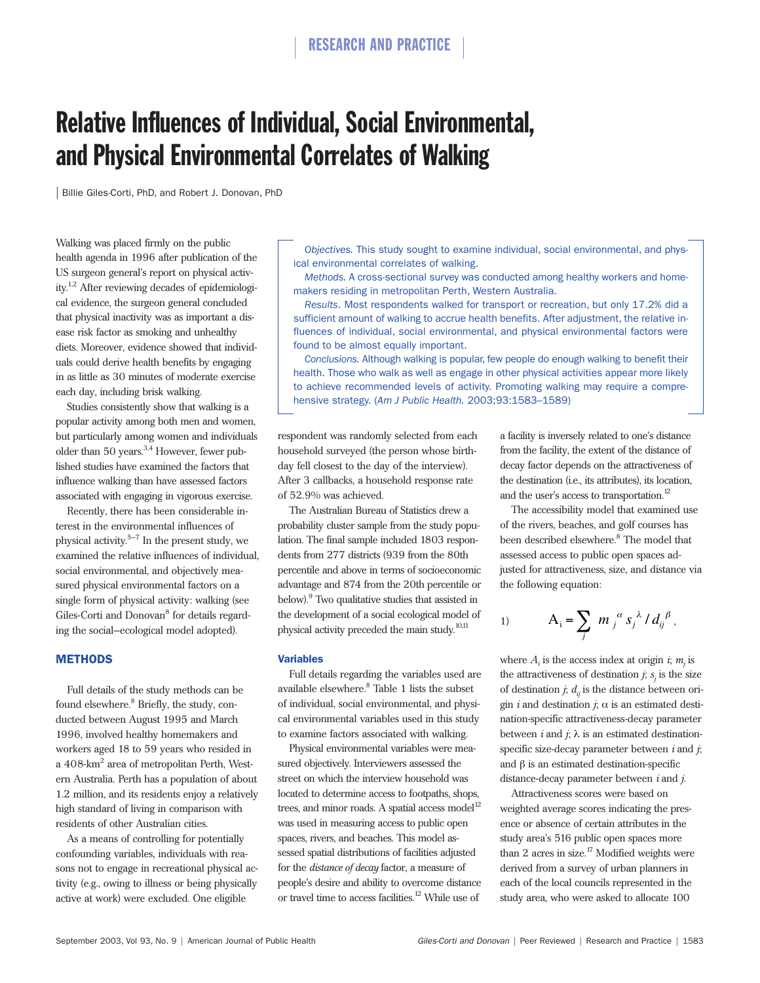# Relative Influences of Individual, Social Environmental, and Physical Environmental Correlates of Walking

| Billie Giles-Corti, PhD, and Robert J. Donovan, PhD

Walking was placed firmly on the public health agenda in 1996 after publication of the US surgeon general's report on physical activity.<sup>1,2</sup> After reviewing decades of epidemiological evidence, the surgeon general concluded that physical inactivity was as important a disease risk factor as smoking and unhealthy diets. Moreover, evidence showed that individuals could derive health benefits by engaging in as little as 30 minutes of moderate exercise each day, including brisk walking.

Studies consistently show that walking is a popular activity among both men and women, but particularly among women and individuals older than 50 years.<sup>3,4</sup> However, fewer published studies have examined the factors that influence walking than have assessed factors associated with engaging in vigorous exercise.

Recently, there has been considerable interest in the environmental influences of physical activity. $5-7$  In the present study, we examined the relative influences of individual, social environmental, and objectively measured physical environmental factors on a single form of physical activity: walking (see Giles-Corti and Donovan<sup>8</sup> for details regarding the social–ecological model adopted).

### **METHODS**

Full details of the study methods can be found elsewhere.<sup>8</sup> Briefly, the study, conducted between August 1995 and March 1996, involved healthy homemakers and workers aged 18 to 59 years who resided in a 408-km<sup>2</sup> area of metropolitan Perth, Western Australia. Perth has a population of about 1.2 million, and its residents enjoy a relatively high standard of living in comparison with residents of other Australian cities.

As a means of controlling for potentially confounding variables, individuals with reasons not to engage in recreational physical activity (e.g., owing to illness or being physically active at work) were excluded. One eligible

*Objectives.* This study sought to examine individual, social environmental, and physical environmental correlates of walking.

*Methods.* A cross-sectional survey was conducted among healthy workers and homemakers residing in metropolitan Perth, Western Australia.

*Results*. Most respondents walked for transport or recreation, but only 17.2% did a sufficient amount of walking to accrue health benefits. After adjustment, the relative influences of individual, social environmental, and physical environmental factors were found to be almost equally important.

*Conclusions.* Although walking is popular, few people do enough walking to benefit their health. Those who walk as well as engage in other physical activities appear more likely to achieve recommended levels of activity. Promoting walking may require a comprehensive strategy. (*Am J Public Health.* 2003;93:1583–1589)

respondent was randomly selected from each household surveyed (the person whose birthday fell closest to the day of the interview). After 3 callbacks, a household response rate of 52.9% was achieved.

The Australian Bureau of Statistics drew a probability cluster sample from the study population. The final sample included 1803 respondents from 277 districts (939 from the 80th percentile and above in terms of socioeconomic advantage and 874 from the 20th percentile or below).<sup>9</sup> Two qualitative studies that assisted in the development of a social ecological model of physical activity preceded the main study.10,11

#### Variables

Full details regarding the variables used are available elsewhere.<sup>8</sup> Table 1 lists the subset of individual, social environmental, and physical environmental variables used in this study to examine factors associated with walking.

Physical environmental variables were measured objectively. Interviewers assessed the street on which the interview household was located to determine access to footpaths, shops, trees, and minor roads. A spatial access model<sup>12</sup> was used in measuring access to public open spaces, rivers, and beaches. This model assessed spatial distributions of facilities adjusted for the *distance of decay* factor, a measure of people's desire and ability to overcome distance or travel time to access facilities.12 While use of

a facility is inversely related to one's distance from the facility, the extent of the distance of decay factor depends on the attractiveness of the destination (i.e., its attributes), its location, and the user's access to transportation. $^{12}$ 

The accessibility model that examined use of the rivers, beaches, and golf courses has been described elsewhere.<sup>8</sup> The model that assessed access to public open spaces adjusted for attractiveness, size, and distance via the following equation:

1) 
$$
A_{i} = \sum_{j} m_{j}^{\alpha} s_{j}^{\lambda} / d_{ij}^{\beta},
$$

where  $A_i$  is the access index at origin  $i$ ;  $m_i$  is the attractiveness of destination  $j$ ;  $s<sub>i</sub>$  is the size of destination  $j$ ;  $d_{ij}$  is the distance between origin *i* and destination  $j$ ;  $\alpha$  is an estimated destination-specific attractiveness-decay parameter between  $i$  and  $j$ ;  $\lambda$  is an estimated destinationspecific size-decay parameter between *i* and *j*; and  $β$  is an estimated destination-specific distance-decay parameter between *i* and *j*.

Attractiveness scores were based on weighted average scores indicating the presence or absence of certain attributes in the study area's 516 public open spaces more than 2 acres in size.<sup>17</sup> Modified weights were derived from a survey of urban planners in each of the local councils represented in the study area, who were asked to allocate 100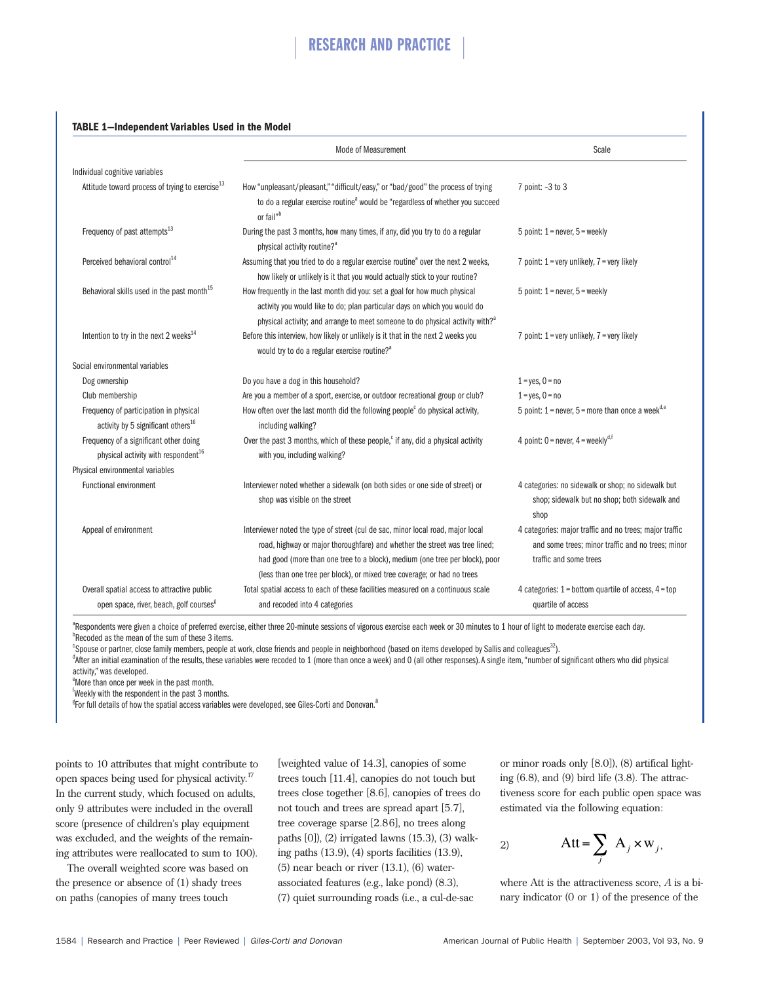#### **TABLE 1—Independent Variables Used in the Model**

|                                                                                                                               | Mode of Measurement                                                                                                                                                                                                                                                                                                      | Scale                                                                                                                                  |
|-------------------------------------------------------------------------------------------------------------------------------|--------------------------------------------------------------------------------------------------------------------------------------------------------------------------------------------------------------------------------------------------------------------------------------------------------------------------|----------------------------------------------------------------------------------------------------------------------------------------|
| Individual cognitive variables                                                                                                |                                                                                                                                                                                                                                                                                                                          |                                                                                                                                        |
| Attitude toward process of trying to exercise <sup>13</sup>                                                                   | How "unpleasant/pleasant," "difficult/easy," or "bad/good" the process of trying<br>to do a regular exercise routine <sup>a</sup> would be "regardless of whether you succeed<br>or fail" <sup>b</sup>                                                                                                                   | 7 point: -3 to 3                                                                                                                       |
| Frequency of past attempts <sup>13</sup>                                                                                      | During the past 3 months, how many times, if any, did you try to do a regular<br>physical activity routine? <sup>a</sup>                                                                                                                                                                                                 | 5 point: $1$ = never, $5$ = weekly                                                                                                     |
| Perceived behavioral control <sup>14</sup>                                                                                    | Assuming that you tried to do a regular exercise routine <sup>a</sup> over the next 2 weeks,<br>how likely or unlikely is it that you would actually stick to your routine?                                                                                                                                              | 7 point: $1 = \text{very unlikely}, 7 = \text{very likely}$                                                                            |
| Behavioral skills used in the past month <sup>15</sup>                                                                        | How frequently in the last month did you: set a goal for how much physical<br>activity you would like to do; plan particular days on which you would do<br>physical activity; and arrange to meet someone to do physical activity with? <sup>3</sup>                                                                     | 5 point: $1$ = never, $5$ = weekly                                                                                                     |
| Intention to try in the next 2 weeks $^{14}$                                                                                  | Before this interview, how likely or unlikely is it that in the next 2 weeks you<br>would try to do a regular exercise routine? <sup>a</sup>                                                                                                                                                                             | 7 point: $1 = \text{very unlikely}, 7 = \text{very likely}$                                                                            |
| Social environmental variables                                                                                                |                                                                                                                                                                                                                                                                                                                          |                                                                                                                                        |
| Dog ownership                                                                                                                 | Do you have a dog in this household?                                                                                                                                                                                                                                                                                     | $1 = yes, 0 = no$                                                                                                                      |
| Club membership                                                                                                               | Are you a member of a sport, exercise, or outdoor recreational group or club?                                                                                                                                                                                                                                            | $1 = yes, 0 = no$                                                                                                                      |
| Frequency of participation in physical<br>activity by 5 significant others <sup>16</sup>                                      | How often over the last month did the following people <sup>c</sup> do physical activity,<br>including walking?                                                                                                                                                                                                          | 5 point: $1$ = never, $5$ = more than once a week <sup>d,e</sup>                                                                       |
| Frequency of a significant other doing<br>physical activity with respondent <sup>16</sup><br>Physical environmental variables | Over the past 3 months, which of these people, <sup>c</sup> if any, did a physical activity<br>with you, including walking?                                                                                                                                                                                              | 4 point: $0 =$ never, $4 =$ weekly <sup>d,f</sup>                                                                                      |
| <b>Functional environment</b>                                                                                                 | Interviewer noted whether a sidewalk (on both sides or one side of street) or<br>shop was visible on the street                                                                                                                                                                                                          | 4 categories: no sidewalk or shop; no sidewalk but<br>shop; sidewalk but no shop; both sidewalk and<br>shop                            |
| Appeal of environment                                                                                                         | Interviewer noted the type of street (cul de sac, minor local road, major local<br>road, highway or major thoroughfare) and whether the street was tree lined;<br>had good (more than one tree to a block), medium (one tree per block), poor<br>(less than one tree per block), or mixed tree coverage; or had no trees | 4 categories: major traffic and no trees; major traffic<br>and some trees; minor traffic and no trees; minor<br>traffic and some trees |
| Overall spatial access to attractive public<br>open space, river, beach, golf courses <sup>g</sup>                            | Total spatial access to each of these facilities measured on a continuous scale<br>and recoded into 4 categories                                                                                                                                                                                                         | 4 categories: $1 =$ bottom quartile of access, $4 =$ top<br>quartile of access                                                         |

<sup>a</sup>Respondents were given a choice of preferred exercise, either three 20-minute sessions of vigorous exercise each week or 30 minutes to 1 hour of light to moderate exercise each day.<br>Proceded as the moan of the sum of th <sup>b</sup>Recoded as the mean of the sum of these 3 items.

<sup>e</sup>Spouse or partner, close family members, people at work, close friends and people in neighborhood (based on items developed by Sallis and colleagues<sup>32</sup>).<br><sup>4</sup>After an initial examination of the results these variables w

<sup>d</sup>After an initial examination of the results, these variables were recoded to 1 (more than once a week) and O (all other responses). A single item, "number of significant others who did physical activity," was developed.

e More than once per week in the past month.

Example 1 with the respondent in the past 3 months.<br>Example 1 details of how the spatial access variables

<sup>g</sup>For full details of how the spatial access variables were developed, see Giles-Corti and Donovan.<sup>8</sup>

points to 10 attributes that might contribute to open spaces being used for physical activity.17 In the current study, which focused on adults, only 9 attributes were included in the overall score (presence of children's play equipment was excluded, and the weights of the remaining attributes were reallocated to sum to 100).

The overall weighted score was based on the presence or absence of (1) shady trees on paths (canopies of many trees touch

[weighted value of 14.3], canopies of some trees touch [11.4], canopies do not touch but trees close together [8.6], canopies of trees do not touch and trees are spread apart [5.7], tree coverage sparse [2.86], no trees along paths [0]), (2) irrigated lawns (15.3), (3) walking paths (13.9), (4) sports facilities (13.9),  $(5)$  near beach or river  $(13.1)$ ,  $(6)$  waterassociated features (e.g., lake pond) (8.3), (7) quiet surrounding roads (i.e., a cul-de-sac

or minor roads only [8.0]), (8) artifical lighting  $(6.8)$ , and  $(9)$  bird life  $(3.8)$ . The attractiveness score for each public open space was estimated via the following equation:

$$
2) \qquad \qquad \text{Att} = \sum_{j} \ A_{j} \times w_{j},
$$

where Att is the attractiveness score, *A* is a binary indicator (0 or 1) of the presence of the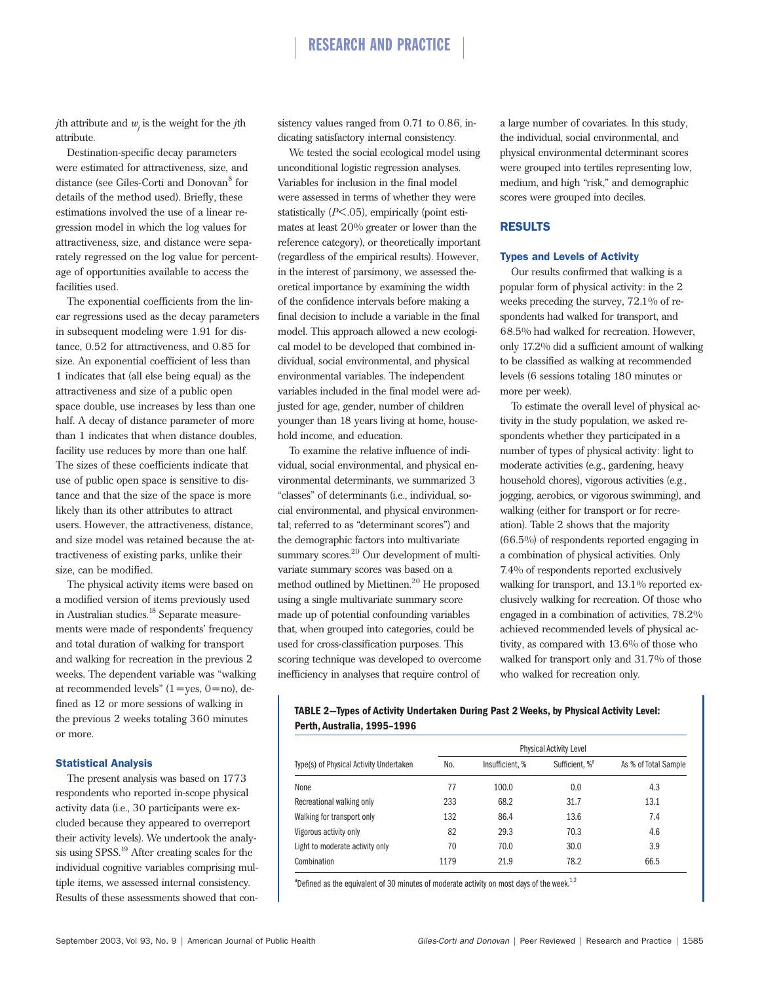# RESEARCH AND PRACTICE

*j*th attribute and  $w_i$  is the weight for the *j*th attribute.

Destination-specific decay parameters were estimated for attractiveness, size, and distance (see Giles-Corti and Donovan<sup>8</sup> for details of the method used). Briefly, these estimations involved the use of a linear regression model in which the log values for attractiveness, size, and distance were separately regressed on the log value for percentage of opportunities available to access the facilities used.

The exponential coefficients from the linear regressions used as the decay parameters in subsequent modeling were 1.91 for distance, 0.52 for attractiveness, and 0.85 for size. An exponential coefficient of less than 1 indicates that (all else being equal) as the attractiveness and size of a public open space double, use increases by less than one half. A decay of distance parameter of more than 1 indicates that when distance doubles, facility use reduces by more than one half. The sizes of these coefficients indicate that use of public open space is sensitive to distance and that the size of the space is more likely than its other attributes to attract users. However, the attractiveness, distance, and size model was retained because the attractiveness of existing parks, unlike their size, can be modified.

The physical activity items were based on a modified version of items previously used in Australian studies.<sup>18</sup> Separate measurements were made of respondents' frequency and total duration of walking for transport and walking for recreation in the previous 2 weeks. The dependent variable was "walking at recommended levels"  $(1 = yes, 0 = no)$ , defined as 12 or more sessions of walking in the previous 2 weeks totaling 360 minutes or more.

### Statistical Analysis

The present analysis was based on 1773 respondents who reported in-scope physical activity data (i.e., 30 participants were excluded because they appeared to overreport their activity levels). We undertook the analysis using SPSS.<sup>19</sup> After creating scales for the individual cognitive variables comprising multiple items, we assessed internal consistency. Results of these assessments showed that consistency values ranged from 0.71 to 0.86, indicating satisfactory internal consistency.

We tested the social ecological model using unconditional logistic regression analyses. Variables for inclusion in the final model were assessed in terms of whether they were statistically (*P*<.05), empirically (point estimates at least 20% greater or lower than the reference category), or theoretically important (regardless of the empirical results). However, in the interest of parsimony, we assessed theoretical importance by examining the width of the confidence intervals before making a final decision to include a variable in the final model. This approach allowed a new ecological model to be developed that combined individual, social environmental, and physical environmental variables. The independent variables included in the final model were adjusted for age, gender, number of children younger than 18 years living at home, household income, and education.

To examine the relative influence of individual, social environmental, and physical environmental determinants, we summarized 3 "classes" of determinants (i.e., individual, social environmental, and physical environmental; referred to as "determinant scores") and the demographic factors into multivariate summary scores.<sup>20</sup> Our development of multivariate summary scores was based on a method outlined by Miettinen.<sup>20</sup> He proposed using a single multivariate summary score made up of potential confounding variables that, when grouped into categories, could be used for cross-classification purposes. This scoring technique was developed to overcome inefficiency in analyses that require control of

a large number of covariates. In this study, the individual, social environmental, and physical environmental determinant scores were grouped into tertiles representing low, medium, and high "risk," and demographic scores were grouped into deciles.

### RESULTS

#### Types and Levels of Activity

Our results confirmed that walking is a popular form of physical activity: in the 2 weeks preceding the survey, 72.1% of respondents had walked for transport, and 68.5% had walked for recreation. However, only 17.2% did a sufficient amount of walking to be classified as walking at recommended levels (6 sessions totaling 180 minutes or more per week).

To estimate the overall level of physical activity in the study population, we asked respondents whether they participated in a number of types of physical activity: light to moderate activities (e.g., gardening, heavy household chores), vigorous activities (e.g., jogging, aerobics, or vigorous swimming), and walking (either for transport or for recreation). Table 2 shows that the majority (66.5%) of respondents reported engaging in a combination of physical activities. Only 7.4% of respondents reported exclusively walking for transport, and 13.1% reported exclusively walking for recreation. Of those who engaged in a combination of activities, 78.2% achieved recommended levels of physical activity, as compared with 13.6% of those who walked for transport only and 31.7% of those who walked for recreation only.

# **TABLE 2—Types of Activity Undertaken During Past 2 Weeks, by Physical Activity Level: Perth, Australia, 1995–1996**

|                                         | <b>Physical Activity Level</b> |                 |                            |                      |
|-----------------------------------------|--------------------------------|-----------------|----------------------------|----------------------|
| Type(s) of Physical Activity Undertaken | No.                            | Insufficient, % | Sufficient, % <sup>a</sup> | As % of Total Sample |
| None                                    | 77                             | 100.0           | 0.0                        | 4.3                  |
| Recreational walking only               | 233                            | 68.2            | 31.7                       | 13.1                 |
| Walking for transport only              | 132                            | 86.4            | 13.6                       | 7.4                  |
| Vigorous activity only                  | 82                             | 29.3            | 70.3                       | 4.6                  |
| Light to moderate activity only         | 70                             | 70.0            | 30.0                       | 3.9                  |
| Combination                             | 1179                           | 21.9            | 78.2                       | 66.5                 |

<sup>a</sup>Defined as the equivalent of 30 minutes of moderate activity on most days of the week.<sup>1,2</sup>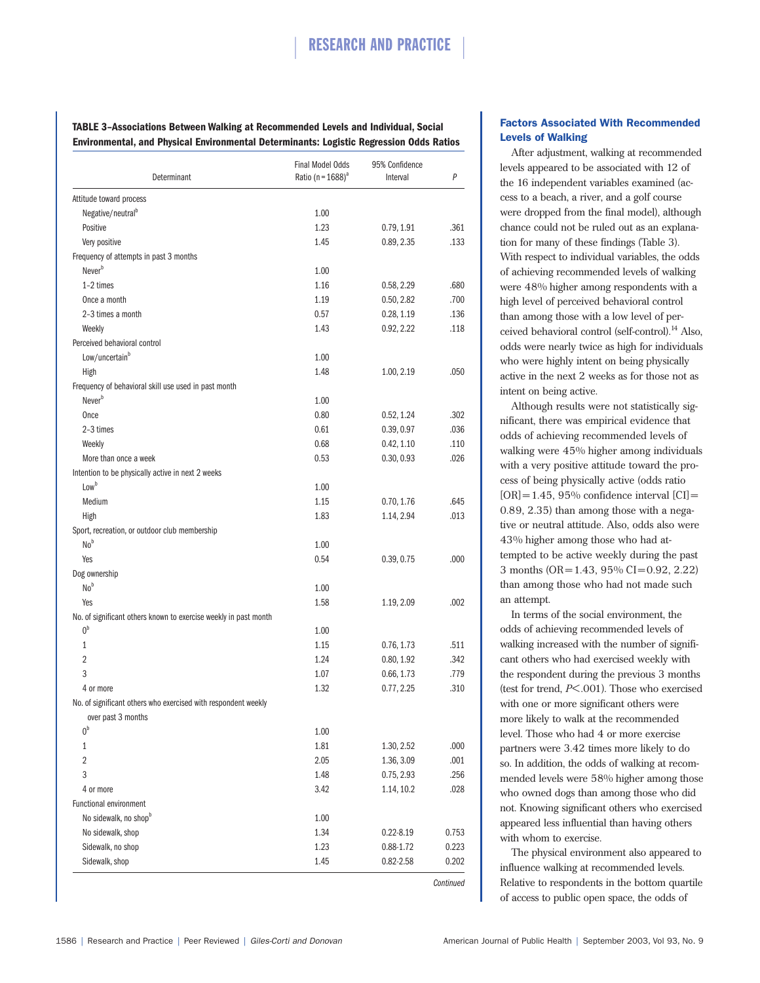# RESEARCH AND PRACTICE

**TABLE 3–Associations Between Walking at Recommended Levels and Individual, Social Environmental, and Physical Environmental Determinants: Logistic Regression Odds Ratios**

| Determinant                                                      | <b>Final Model Odds</b><br>Ratio (n = $1688$ ) <sup>a</sup> | 95% Confidence<br>Interval | P         |
|------------------------------------------------------------------|-------------------------------------------------------------|----------------------------|-----------|
| Attitude toward process                                          |                                                             |                            |           |
| Negative/neutral <sup>b</sup>                                    | 1.00                                                        |                            |           |
| Positive                                                         | 1.23                                                        | 0.79, 1.91                 | .361      |
| Very positive                                                    | 1.45                                                        | 0.89, 2.35                 | .133      |
| Frequency of attempts in past 3 months                           |                                                             |                            |           |
| Never <sup>b</sup>                                               | 1.00                                                        |                            |           |
| 1-2 times                                                        | 1.16                                                        | 0.58, 2.29                 | .680      |
| Once a month                                                     | 1.19                                                        | 0.50, 2.82                 | .700      |
| 2-3 times a month                                                | 0.57                                                        | 0.28, 1.19                 | .136      |
| Weekly                                                           | 1.43                                                        | 0.92, 2.22                 | .118      |
| Perceived behavioral control                                     |                                                             |                            |           |
| Low/uncertain <sup>b</sup>                                       | 1.00                                                        |                            |           |
| High                                                             | 1.48                                                        | 1.00, 2.19                 | .050      |
| Frequency of behavioral skill use used in past month             |                                                             |                            |           |
| Never <sup>b</sup>                                               | 1.00                                                        |                            |           |
| Once                                                             | 0.80                                                        | 0.52, 1.24                 | .302      |
| 2-3 times                                                        | 0.61                                                        | 0.39, 0.97                 | .036      |
| Weekly                                                           | 0.68                                                        | 0.42, 1.10                 | .110      |
| More than once a week                                            | 0.53                                                        | 0.30, 0.93                 | .026      |
| Intention to be physically active in next 2 weeks                |                                                             |                            |           |
| Low <sup>b</sup>                                                 | 1.00                                                        |                            |           |
| Medium                                                           | 1.15                                                        | 0.70, 1.76                 | .645      |
| High                                                             | 1.83                                                        | 1.14, 2.94                 | .013      |
| Sport, recreation, or outdoor club membership                    |                                                             |                            |           |
| No <sup>b</sup>                                                  | 1.00                                                        |                            |           |
| Yes                                                              | 0.54                                                        | 0.39, 0.75                 | .000      |
| Dog ownership                                                    |                                                             |                            |           |
| No <sup>b</sup>                                                  | 1.00                                                        |                            |           |
| Yes                                                              | 1.58                                                        | 1.19, 2.09                 | .002      |
| No. of significant others known to exercise weekly in past month |                                                             |                            |           |
| $0^{\text{b}}$                                                   | 1.00                                                        |                            |           |
| 1                                                                | 1.15                                                        | 0.76, 1.73                 | .511      |
| 2                                                                | 1.24                                                        | 0.80, 1.92                 | .342      |
| 3                                                                | 1.07                                                        | 0.66, 1.73                 | .779      |
| 4 or more                                                        | 1.32                                                        | 0.77, 2.25                 | .310      |
| No. of significant others who exercised with respondent weekly   |                                                             |                            |           |
| over past 3 months                                               |                                                             |                            |           |
| 0 <sup>b</sup>                                                   | 1.00                                                        |                            |           |
| 1                                                                | 1.81                                                        | 1.30, 2.52                 | .000      |
| 2                                                                | 2.05                                                        | 1.36, 3.09                 | .001      |
| 3                                                                | 1.48                                                        | 0.75, 2.93                 | .256      |
| 4 or more                                                        | 3.42                                                        | 1.14, 10.2                 | .028      |
| <b>Functional environment</b>                                    |                                                             |                            |           |
| No sidewalk, no shopb                                            | 1.00                                                        |                            |           |
| No sidewalk, shop                                                | 1.34                                                        | $0.22 - 8.19$              | 0.753     |
| Sidewalk, no shop                                                | 1.23                                                        | 0.88-1.72                  | 0.223     |
| Sidewalk, shop                                                   | 1.45                                                        | 0.82-2.58                  | 0.202     |
|                                                                  |                                                             |                            | Continued |

# Factors Associated With Recommended Levels of Walking

After adjustment, walking at recommended levels appeared to be associated with 12 of the 16 independent variables examined (access to a beach, a river, and a golf course were dropped from the final model), although chance could not be ruled out as an explanation for many of these findings (Table 3). With respect to individual variables, the odds of achieving recommended levels of walking were 48% higher among respondents with a high level of perceived behavioral control than among those with a low level of perceived behavioral control (self-control).<sup>14</sup> Also, odds were nearly twice as high for individuals who were highly intent on being physically active in the next 2 weeks as for those not as intent on being active.

Although results were not statistically significant, there was empirical evidence that odds of achieving recommended levels of walking were 45% higher among individuals with a very positive attitude toward the process of being physically active (odds ratio  $[OR]=1.45$ , 95% confidence interval  $[CI]=$ 0.89, 2.35) than among those with a negative or neutral attitude. Also, odds also were 43% higher among those who had attempted to be active weekly during the past 3 months (OR=1.43, 95% CI=0.92, 2.22) than among those who had not made such an attempt.

In terms of the social environment, the odds of achieving recommended levels of walking increased with the number of significant others who had exercised weekly with the respondent during the previous 3 months (test for trend, *P*<.001). Those who exercised with one or more significant others were more likely to walk at the recommended level. Those who had 4 or more exercise partners were 3.42 times more likely to do so. In addition, the odds of walking at recommended levels were 58% higher among those who owned dogs than among those who did not. Knowing significant others who exercised appeared less influential than having others with whom to exercise.

The physical environment also appeared to influence walking at recommended levels. Relative to respondents in the bottom quartile of access to public open space, the odds of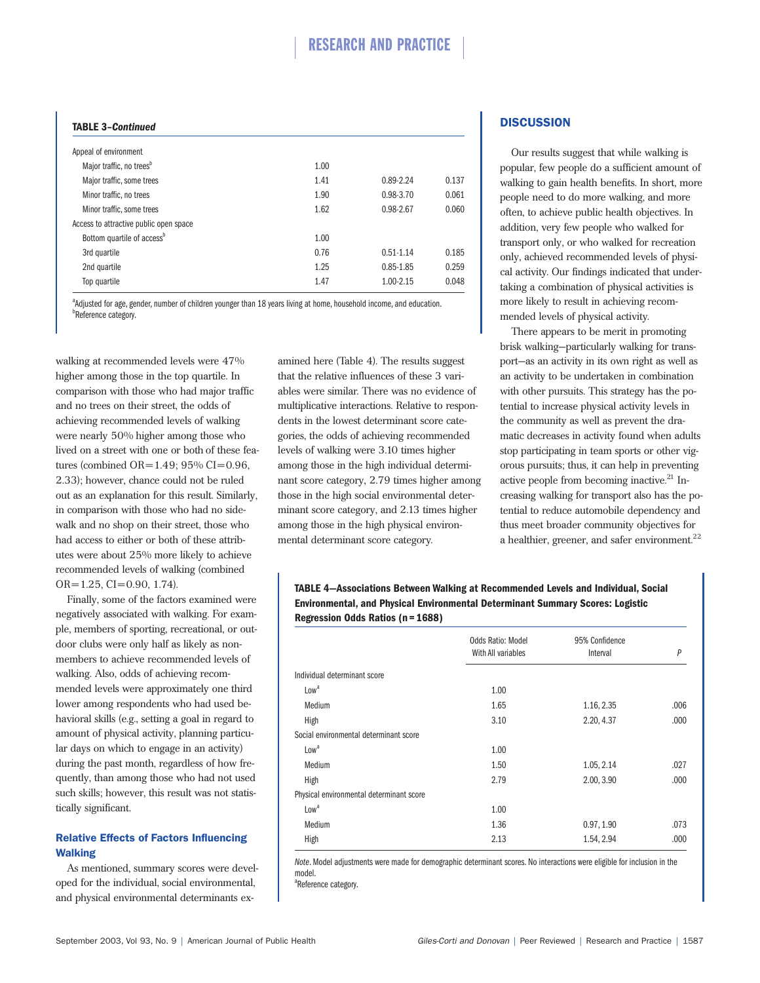# RESEARCH AND PRACTICE

#### **TABLE 3–***Continued*

| Appeal of environment                  |      |               |       |
|----------------------------------------|------|---------------|-------|
| Major traffic, no trees <sup>b</sup>   | 1.00 |               |       |
| Major traffic, some trees              | 1.41 | $0.89 - 2.24$ | 0.137 |
| Minor traffic, no trees                | 1.90 | 0.98-3.70     | 0.061 |
| Minor traffic, some trees              | 1.62 | 0.98-2.67     | 0.060 |
| Access to attractive public open space |      |               |       |
| Bottom quartile of access <sup>b</sup> | 1.00 |               |       |
| 3rd quartile                           | 0.76 | $0.51 - 1.14$ | 0.185 |
| 2nd quartile                           | 1.25 | $0.85 - 1.85$ | 0.259 |
| Top quartile                           | 1.47 | 1.00-2.15     | 0.048 |
|                                        |      |               |       |

<sup>a</sup>Adjusted for age, gender, number of children younger than 18 years living at home, household income, and education. *<u>B</u>Reference category*.

walking at recommended levels were 47% higher among those in the top quartile. In comparison with those who had major traffic and no trees on their street, the odds of achieving recommended levels of walking were nearly 50% higher among those who lived on a street with one or both of these features (combined  $OR = 1.49$ ; 95%  $CI = 0.96$ , 2.33); however, chance could not be ruled out as an explanation for this result. Similarly, in comparison with those who had no sidewalk and no shop on their street, those who had access to either or both of these attributes were about 25% more likely to achieve recommended levels of walking (combined  $OR = 1.25$ ,  $CI = 0.90$ , 1.74).

Finally, some of the factors examined were negatively associated with walking. For example, members of sporting, recreational, or outdoor clubs were only half as likely as nonmembers to achieve recommended levels of walking. Also, odds of achieving recommended levels were approximately one third lower among respondents who had used behavioral skills (e.g., setting a goal in regard to amount of physical activity, planning particular days on which to engage in an activity) during the past month, regardless of how frequently, than among those who had not used such skills; however, this result was not statistically significant.

# Relative Effects of Factors Influencing Walking

As mentioned, summary scores were developed for the individual, social environmental, and physical environmental determinants ex-

amined here (Table 4). The results suggest that the relative influences of these 3 variables were similar. There was no evidence of multiplicative interactions. Relative to respondents in the lowest determinant score categories, the odds of achieving recommended levels of walking were 3.10 times higher among those in the high individual determinant score category, 2.79 times higher among those in the high social environmental determinant score category, and 2.13 times higher among those in the high physical environmental determinant score category.

# **DISCUSSION**

Our results suggest that while walking is popular, few people do a sufficient amount of walking to gain health benefits. In short, more people need to do more walking, and more often, to achieve public health objectives. In addition, very few people who walked for transport only, or who walked for recreation only, achieved recommended levels of physical activity. Our findings indicated that undertaking a combination of physical activities is more likely to result in achieving recommended levels of physical activity.

There appears to be merit in promoting brisk walking—particularly walking for transport—as an activity in its own right as well as an activity to be undertaken in combination with other pursuits. This strategy has the potential to increase physical activity levels in the community as well as prevent the dramatic decreases in activity found when adults stop participating in team sports or other vigorous pursuits; thus, it can help in preventing active people from becoming inactive.<sup>21</sup> Increasing walking for transport also has the potential to reduce automobile dependency and thus meet broader community objectives for a healthier, greener, and safer environment.<sup>22</sup>

# **TABLE 4—Associations Between Walking at Recommended Levels and Individual, Social Environmental, and Physical Environmental Determinant Summary Scores: Logistic Regression Odds Ratios (n=1688)**

|                                          | Odds Ratio: Model  | 95% Confidence |              |
|------------------------------------------|--------------------|----------------|--------------|
|                                          | With All variables | Interval       | $\mathsf{P}$ |
| Individual determinant score             |                    |                |              |
| Low <sup>3</sup>                         | 1.00               |                |              |
| Medium                                   | 1.65               | 1.16, 2.35     | .006         |
| High                                     | 3.10               | 2.20, 4.37     | .000         |
| Social environmental determinant score   |                    |                |              |
| Low <sup>3</sup>                         | 1.00               |                |              |
| Medium                                   | 1.50               | 1.05, 2.14     | .027         |
| High                                     | 2.79               | 2.00, 3.90     | .000.        |
| Physical environmental determinant score |                    |                |              |
| Low <sup>a</sup>                         | 1.00               |                |              |
| Medium                                   | 1.36               | 0.97, 1.90     | .073         |
| High                                     | 2.13               | 1.54, 2.94     | .000         |

*Note*. Model adjustments were made for demographic determinant scores. No interactions were eligible for inclusion in the model.

<sup>a</sup>Reference category.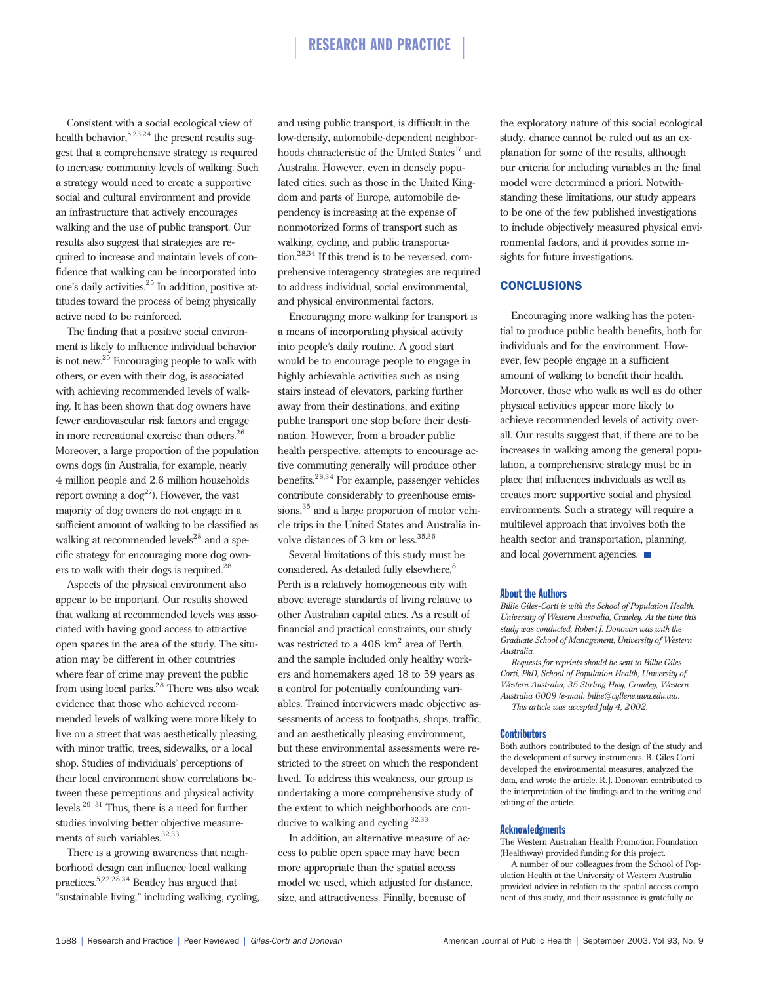Consistent with a social ecological view of health behavior,  $5,23,24$  the present results suggest that a comprehensive strategy is required to increase community levels of walking. Such a strategy would need to create a supportive social and cultural environment and provide an infrastructure that actively encourages walking and the use of public transport. Our results also suggest that strategies are required to increase and maintain levels of confidence that walking can be incorporated into one's daily activities.<sup>25</sup> In addition, positive attitudes toward the process of being physically active need to be reinforced.

The finding that a positive social environment is likely to influence individual behavior is not new.<sup>25</sup> Encouraging people to walk with others, or even with their dog, is associated with achieving recommended levels of walking. It has been shown that dog owners have fewer cardiovascular risk factors and engage in more recreational exercise than others.<sup>26</sup> Moreover, a large proportion of the population owns dogs (in Australia, for example, nearly 4 million people and 2.6 million households report owning a  $\log^{27}$ ). However, the vast majority of dog owners do not engage in a sufficient amount of walking to be classified as walking at recommended levels<sup>28</sup> and a specific strategy for encouraging more dog owners to walk with their dogs is required.<sup>28</sup>

Aspects of the physical environment also appear to be important. Our results showed that walking at recommended levels was associated with having good access to attractive open spaces in the area of the study. The situation may be different in other countries where fear of crime may prevent the public from using local parks.<sup>28</sup> There was also weak evidence that those who achieved recommended levels of walking were more likely to live on a street that was aesthetically pleasing, with minor traffic, trees, sidewalks, or a local shop. Studies of individuals' perceptions of their local environment show correlations between these perceptions and physical activity levels. $29-31$  Thus, there is a need for further studies involving better objective measurements of such variables.<sup>32,33</sup>

There is a growing awareness that neighborhood design can influence local walking practices.5,22,28,34 Beatley has argued that "sustainable living," including walking, cycling,

and using public transport, is difficult in the low-density, automobile-dependent neighborhoods characteristic of the United States<sup>17</sup> and Australia. However, even in densely populated cities, such as those in the United Kingdom and parts of Europe, automobile dependency is increasing at the expense of nonmotorized forms of transport such as walking, cycling, and public transportation.28,34 If this trend is to be reversed, comprehensive interagency strategies are required to address individual, social environmental, and physical environmental factors.

Encouraging more walking for transport is a means of incorporating physical activity into people's daily routine. A good start would be to encourage people to engage in highly achievable activities such as using stairs instead of elevators, parking further away from their destinations, and exiting public transport one stop before their destination. However, from a broader public health perspective, attempts to encourage active commuting generally will produce other benefits.28,34 For example, passenger vehicles contribute considerably to greenhouse emissions,<sup>35</sup> and a large proportion of motor vehicle trips in the United States and Australia involve distances of 3 km or less. $35,36$ 

Several limitations of this study must be considered. As detailed fully elsewhere,<sup>8</sup> Perth is a relatively homogeneous city with above average standards of living relative to other Australian capital cities. As a result of financial and practical constraints, our study was restricted to a  $408 \text{ km}^2$  area of Perth, and the sample included only healthy workers and homemakers aged 18 to 59 years as a control for potentially confounding variables. Trained interviewers made objective assessments of access to footpaths, shops, traffic, and an aesthetically pleasing environment, but these environmental assessments were restricted to the street on which the respondent lived. To address this weakness, our group is undertaking a more comprehensive study of the extent to which neighborhoods are conducive to walking and cycling. $32,33$ 

In addition, an alternative measure of access to public open space may have been more appropriate than the spatial access model we used, which adjusted for distance, size, and attractiveness. Finally, because of

the exploratory nature of this social ecological study, chance cannot be ruled out as an explanation for some of the results, although our criteria for including variables in the final model were determined a priori. Notwithstanding these limitations, our study appears to be one of the few published investigations to include objectively measured physical environmental factors, and it provides some insights for future investigations.

# **CONCLUSIONS**

Encouraging more walking has the potential to produce public health benefits, both for individuals and for the environment. However, few people engage in a sufficient amount of walking to benefit their health. Moreover, those who walk as well as do other physical activities appear more likely to achieve recommended levels of activity overall. Our results suggest that, if there are to be increases in walking among the general population, a comprehensive strategy must be in place that influences individuals as well as creates more supportive social and physical environments. Such a strategy will require a multilevel approach that involves both the health sector and transportation, planning, and local government agencies. ■

#### About the Authors

*Billie Giles-Corti is with the School of Population Health, University of Western Australia, Crawley. At the time this study was conducted, Robert J. Donovan was with the Graduate School of Management, University of Western Australia.*

*Requests for reprints should be sent to Billie Giles-Corti, PhD, School of Population Health, University of Western Australia, 35 Stirling Hwy, Crawley, Western Australia 6009 (e-mail: billie@cyllene.uwa.edu.au).*

*This article was accepted July 4, 2002.* 

#### **Contributors**

Both authors contributed to the design of the study and the development of survey instruments. B. Giles-Corti developed the environmental measures, analyzed the data, and wrote the article. R.J. Donovan contributed to the interpretation of the findings and to the writing and editing of the article.

#### Acknowledgments

The Western Australian Health Promotion Foundation (Healthway) provided funding for this project.

A number of our colleagues from the School of Population Health at the University of Western Australia provided advice in relation to the spatial access component of this study, and their assistance is gratefully ac